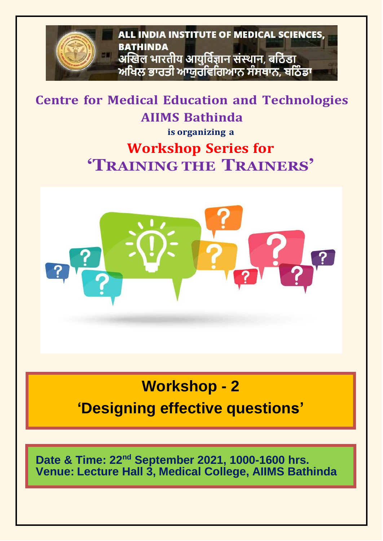

**Centre for Medical Education and Technologies AIIMS Bathinda**

**is organizing a**

## **Workshop Series for 'TRAINING THE TRAINERS'**



# **Workshop - 2 'Designing effective questions'**

**Date & Time: 22nd September 2021, 1000-1600 hrs. Venue: Lecture Hall 3, Medical College, AIIMS Bathinda**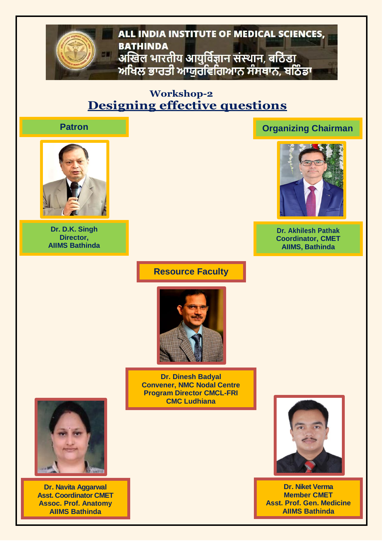### ALL INDIA INSTITUTE OF MEDICAL SCIENCES, **BATHINDA** अखिल भारतीय आयुर्विज्ञान संस्थान, बठिंडा 581 ਅਖਿਲ ਭਾਰਤੀ ਆਯੁਰਵਿਗਿਆਨ ਸੰਸਥਾਨ, ਬਠਿੰਡਾ

### **Workshop-2 Designing effective questions**



**Dr. D.K. Singh Director, AIIMS Bathinda**

### **Patron Organizing Chairman**



**Dr. Akhilesh Pathak Coordinator, CMET AIIMS, Bathinda**

### **Resource Faculty**



**Dr. Dinesh Badyal Convener, NMC Nodal Centre Program Director CMCL-FRI CMC Ludhiana**



**Dr. Niket Verma Member CMET Asst. Prof. Gen. Medicine AIIMS Bathinda**



**Dr. Navita Aggarwal Asst. Coordinator CMET Assoc. Prof. Anatomy AIIMS Bathinda**